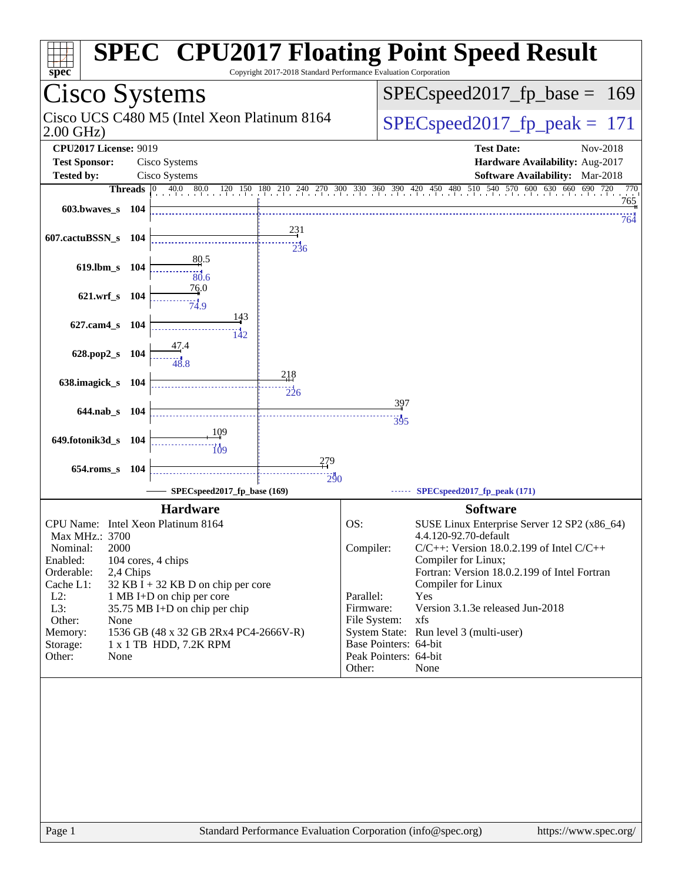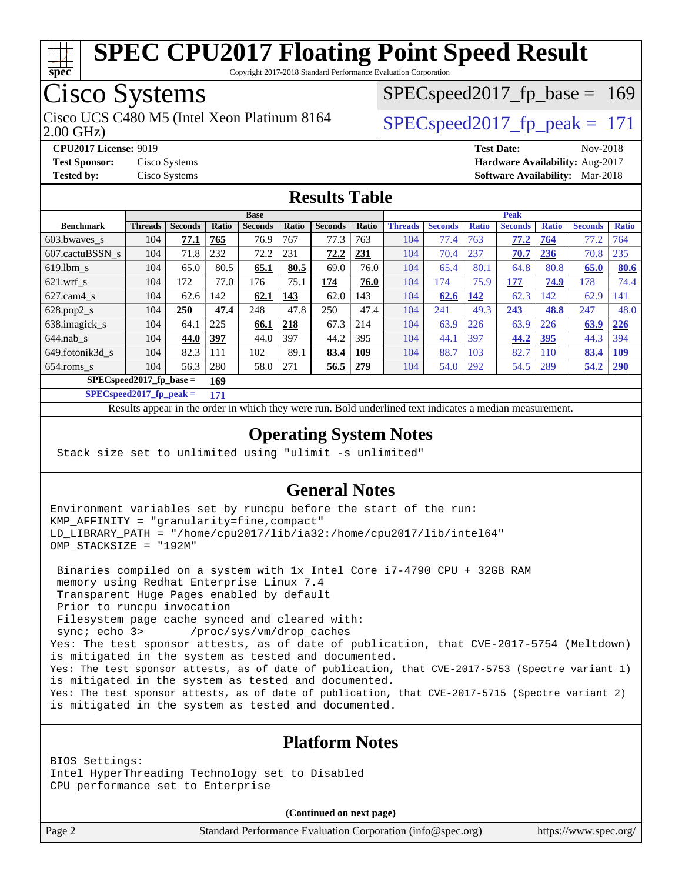

Copyright 2017-2018 Standard Performance Evaluation Corporation

## Cisco Systems

2.00 GHz) Cisco UCS C480 M5 (Intel Xeon Platinum 8164  $\vert$  SPECspeed2017 fp\_peak = 171

SPECspeed2017 fp base =  $169$ 

**[CPU2017 License:](http://www.spec.org/auto/cpu2017/Docs/result-fields.html#CPU2017License)** 9019 **[Test Date:](http://www.spec.org/auto/cpu2017/Docs/result-fields.html#TestDate)** Nov-2018 **[Test Sponsor:](http://www.spec.org/auto/cpu2017/Docs/result-fields.html#TestSponsor)** Cisco Systems **[Hardware Availability:](http://www.spec.org/auto/cpu2017/Docs/result-fields.html#HardwareAvailability)** Aug-2017 **[Tested by:](http://www.spec.org/auto/cpu2017/Docs/result-fields.html#Testedby)** Cisco Systems **[Software Availability:](http://www.spec.org/auto/cpu2017/Docs/result-fields.html#SoftwareAvailability)** Mar-2018

#### **[Results Table](http://www.spec.org/auto/cpu2017/Docs/result-fields.html#ResultsTable)**

|                                   | <b>Base</b>    |                |              |                |              |                | <b>Peak</b> |                |                |              |                |              |                |              |
|-----------------------------------|----------------|----------------|--------------|----------------|--------------|----------------|-------------|----------------|----------------|--------------|----------------|--------------|----------------|--------------|
| <b>Benchmark</b>                  | <b>Threads</b> | <b>Seconds</b> | <b>Ratio</b> | <b>Seconds</b> | <b>Ratio</b> | <b>Seconds</b> | Ratio       | <b>Threads</b> | <b>Seconds</b> | <b>Ratio</b> | <b>Seconds</b> | <b>Ratio</b> | <b>Seconds</b> | <b>Ratio</b> |
| 603.bwayes s                      | 104            | 77.1           | 765          | 76.9           | 767          | 77.3           | 763         | 104            | 77.4           | 763          | 77.2           | 764          | 77.2           | 764          |
| 607.cactuBSSN s                   | 104            | 71.8           | 232          | 72.2           | 231          | 72.2           | 231         | 104            | 70.4           | 237          | 70.7           | 236          | 70.8           | 235          |
| $619.1$ bm s                      | 104            | 65.0           | 80.5         | 65.1           | 80.5         | 69.0           | 76.0        | 104            | 65.4           | 80.1         | 64.8           | 80.8         | 65.0           | 80.6         |
| $621$ .wrf s                      | 104            | 172            | 77.0         | 176            | 75.1         | 174            | 76.0        | 104            | 174            | 75.9         | 177            | 74.9         | 178            | 74.4         |
| $627$ .cam4 s                     | 104            | 62.6           | 142          | 62.1           | 143          | 62.0           | 143         | 104            | 62.6           | 142          | 62.3           | 142          | 62.9           | 141          |
| $628.pop2_s$                      | 104            | 250            | 47.4         | 248            | 47.8         | 250            | 47.4        | 104            | 241            | 49.3         | 243            | 48.8         | 247            | 48.0         |
| 638.imagick_s                     | 104            | 64.1           | 225          | 66.1           | 218          | 67.3           | 214         | 104            | 63.9           | 226          | 63.9           | 226          | 63.9           | 226          |
| $644$ .nab s                      | 104            | 44.0           | 397          | 44.0           | 397          | 44.2           | 395         | 104            | 44.1           | 397          | 44.2           | <u>395</u>   | 44.3           | 394          |
| 649.fotonik3d s                   | 104            | 82.3           | 111          | 102            | 89.1         | 83.4           | 109         | 104            | 88.7           | 103          | 82.7           | 110          | 83.4           | <u>109</u>   |
| $654$ .roms s                     | 104            | 56.3           | 280          | 58.0           | 271          | 56.5           | 279         | 104            | 54.0           | 292          | 54.5           | 289          | 54.2           | <b>290</b>   |
| $SPEC speed2017$ fp base =<br>169 |                |                |              |                |              |                |             |                |                |              |                |              |                |              |

**[SPECspeed2017\\_fp\\_peak =](http://www.spec.org/auto/cpu2017/Docs/result-fields.html#SPECspeed2017fppeak) 171**

Results appear in the [order in which they were run.](http://www.spec.org/auto/cpu2017/Docs/result-fields.html#RunOrder) Bold underlined text [indicates a median measurement](http://www.spec.org/auto/cpu2017/Docs/result-fields.html#Median).

#### **[Operating System Notes](http://www.spec.org/auto/cpu2017/Docs/result-fields.html#OperatingSystemNotes)**

Stack size set to unlimited using "ulimit -s unlimited"

#### **[General Notes](http://www.spec.org/auto/cpu2017/Docs/result-fields.html#GeneralNotes)**

Environment variables set by runcpu before the start of the run: KMP\_AFFINITY = "granularity=fine,compact" LD\_LIBRARY\_PATH = "/home/cpu2017/lib/ia32:/home/cpu2017/lib/intel64" OMP STACKSIZE = "192M"

 Binaries compiled on a system with 1x Intel Core i7-4790 CPU + 32GB RAM memory using Redhat Enterprise Linux 7.4 Transparent Huge Pages enabled by default Prior to runcpu invocation Filesystem page cache synced and cleared with: sync; echo 3> /proc/sys/vm/drop\_caches Yes: The test sponsor attests, as of date of publication, that CVE-2017-5754 (Meltdown) is mitigated in the system as tested and documented. Yes: The test sponsor attests, as of date of publication, that CVE-2017-5753 (Spectre variant 1) is mitigated in the system as tested and documented. Yes: The test sponsor attests, as of date of publication, that CVE-2017-5715 (Spectre variant 2) is mitigated in the system as tested and documented.

#### **[Platform Notes](http://www.spec.org/auto/cpu2017/Docs/result-fields.html#PlatformNotes)**

BIOS Settings: Intel HyperThreading Technology set to Disabled CPU performance set to Enterprise

**(Continued on next page)**

Page 2 Standard Performance Evaluation Corporation [\(info@spec.org\)](mailto:info@spec.org) <https://www.spec.org/>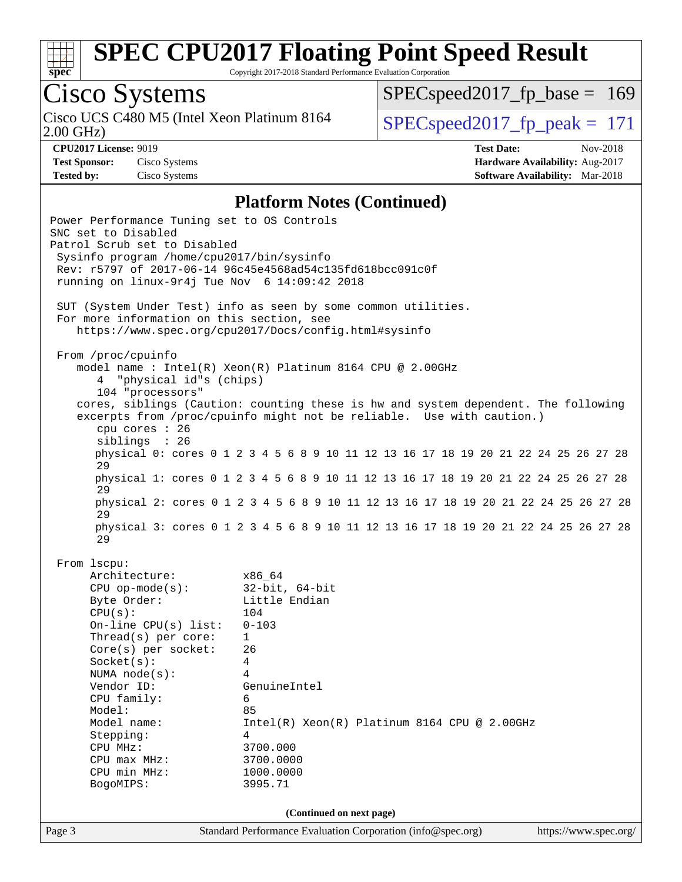

Copyright 2017-2018 Standard Performance Evaluation Corporation

## Cisco Systems

Cisco UCS C480 M5 (Intel Xeon Platinum 8164<br>2.00 GHz)

SPECspeed2017 fp base =  $169$ 

SPECspeed2017 fp peak =  $171$ 

**[CPU2017 License:](http://www.spec.org/auto/cpu2017/Docs/result-fields.html#CPU2017License)** 9019 **[Test Date:](http://www.spec.org/auto/cpu2017/Docs/result-fields.html#TestDate)** Nov-2018 **[Test Sponsor:](http://www.spec.org/auto/cpu2017/Docs/result-fields.html#TestSponsor)** Cisco Systems **[Hardware Availability:](http://www.spec.org/auto/cpu2017/Docs/result-fields.html#HardwareAvailability)** Aug-2017 **[Tested by:](http://www.spec.org/auto/cpu2017/Docs/result-fields.html#Testedby)** Cisco Systems **[Software Availability:](http://www.spec.org/auto/cpu2017/Docs/result-fields.html#SoftwareAvailability)** Mar-2018

#### **[Platform Notes \(Continued\)](http://www.spec.org/auto/cpu2017/Docs/result-fields.html#PlatformNotes)**

Page 3 Standard Performance Evaluation Corporation [\(info@spec.org\)](mailto:info@spec.org) <https://www.spec.org/> Power Performance Tuning set to OS Controls SNC set to Disabled Patrol Scrub set to Disabled Sysinfo program /home/cpu2017/bin/sysinfo Rev: r5797 of 2017-06-14 96c45e4568ad54c135fd618bcc091c0f running on linux-9r4j Tue Nov 6 14:09:42 2018 SUT (System Under Test) info as seen by some common utilities. For more information on this section, see <https://www.spec.org/cpu2017/Docs/config.html#sysinfo> From /proc/cpuinfo model name : Intel(R) Xeon(R) Platinum 8164 CPU @ 2.00GHz 4 "physical id"s (chips) 104 "processors" cores, siblings (Caution: counting these is hw and system dependent. The following excerpts from /proc/cpuinfo might not be reliable. Use with caution.) cpu cores : 26 siblings : 26 physical 0: cores 0 1 2 3 4 5 6 8 9 10 11 12 13 16 17 18 19 20 21 22 24 25 26 27 28 29 physical 1: cores 0 1 2 3 4 5 6 8 9 10 11 12 13 16 17 18 19 20 21 22 24 25 26 27 28 29 physical 2: cores 0 1 2 3 4 5 6 8 9 10 11 12 13 16 17 18 19 20 21 22 24 25 26 27 28 29 physical 3: cores 0 1 2 3 4 5 6 8 9 10 11 12 13 16 17 18 19 20 21 22 24 25 26 27 28 29 From lscpu: Architecture: x86\_64 CPU op-mode(s): 32-bit, 64-bit Byte Order: Little Endian CPU(s): 104 On-line CPU(s) list: 0-103 Thread(s) per core: 1 Core(s) per socket: 26 Socket(s): 4 NUMA node(s): 4 Vendor ID: GenuineIntel CPU family: 6 Model: 85 Model name: Intel(R) Xeon(R) Platinum 8164 CPU @ 2.00GHz Stepping: 4 CPU MHz: 3700.000 CPU max MHz: 3700.0000 CPU min MHz: 1000.0000 BogoMIPS: 3995.71 **(Continued on next page)**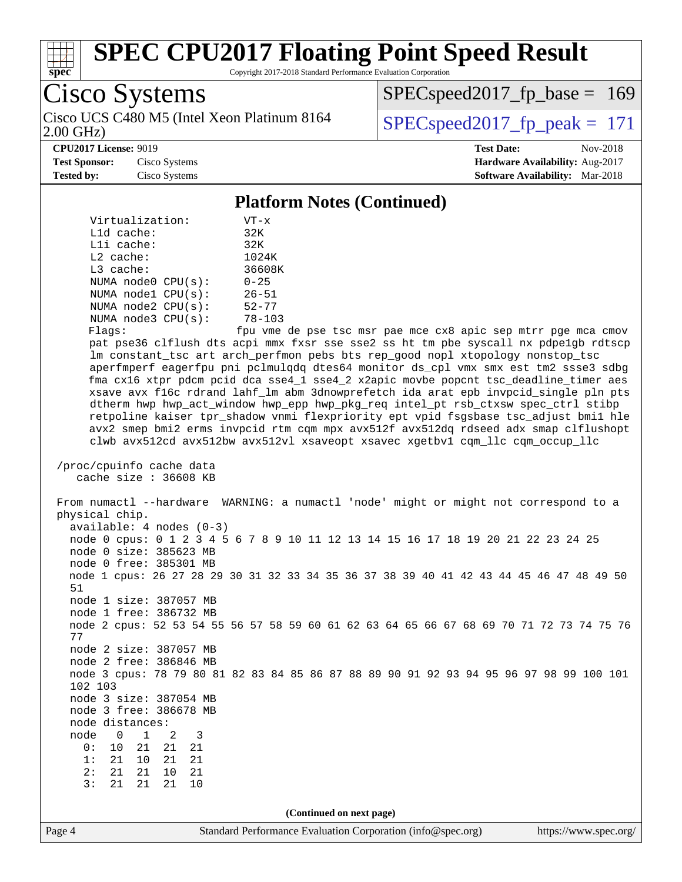

Copyright 2017-2018 Standard Performance Evaluation Corporation

Cisco Systems Cisco UCS C480 M5 (Intel Xeon Platinum 8164<br>2.00 GHz)

 $SPEC speed2017_fp\_base = 169$ 

SPECspeed2017 fp peak =  $171$ 

**[CPU2017 License:](http://www.spec.org/auto/cpu2017/Docs/result-fields.html#CPU2017License)** 9019 **[Test Date:](http://www.spec.org/auto/cpu2017/Docs/result-fields.html#TestDate)** Nov-2018 **[Test Sponsor:](http://www.spec.org/auto/cpu2017/Docs/result-fields.html#TestSponsor)** Cisco Systems **[Hardware Availability:](http://www.spec.org/auto/cpu2017/Docs/result-fields.html#HardwareAvailability)** Aug-2017 **[Tested by:](http://www.spec.org/auto/cpu2017/Docs/result-fields.html#Testedby)** Cisco Systems **[Software Availability:](http://www.spec.org/auto/cpu2017/Docs/result-fields.html#SoftwareAvailability)** Mar-2018

#### **[Platform Notes \(Continued\)](http://www.spec.org/auto/cpu2017/Docs/result-fields.html#PlatformNotes)**

| Virtualization:         | VT-x           |  |  |  |
|-------------------------|----------------|--|--|--|
| $L1d$ cache:            | 32K            |  |  |  |
| $L1i$ cache:            | 32K            |  |  |  |
| $L2$ cache:             | 1024K          |  |  |  |
| $L3$ cache:             | 36608K         |  |  |  |
| NUMA $node0$ $CPU(s)$ : | $0 - 25$       |  |  |  |
| NUMA nodel CPU(s):      | $26 - 51$      |  |  |  |
| NUMA $node2$ $CPU(s)$ : | $52 - 77$      |  |  |  |
| NUMA node3 CPU(s):      | $78 - 103$     |  |  |  |
| $1.7 - 1.7$             | ملام متسع متصا |  |  |  |

Flags: fpu vme de pse tsc msr pae mce cx8 apic sep mtrr pge mca cmov pat pse36 clflush dts acpi mmx fxsr sse sse2 ss ht tm pbe syscall nx pdpe1gb rdtscp lm constant\_tsc art arch\_perfmon pebs bts rep\_good nopl xtopology nonstop\_tsc aperfmperf eagerfpu pni pclmulqdq dtes64 monitor ds\_cpl vmx smx est tm2 ssse3 sdbg fma cx16 xtpr pdcm pcid dca sse4\_1 sse4\_2 x2apic movbe popcnt tsc\_deadline\_timer aes xsave avx f16c rdrand lahf\_lm abm 3dnowprefetch ida arat epb invpcid\_single pln pts dtherm hwp hwp\_act\_window hwp\_epp hwp\_pkg\_req intel\_pt rsb\_ctxsw spec\_ctrl stibp retpoline kaiser tpr\_shadow vnmi flexpriority ept vpid fsgsbase tsc\_adjust bmi1 hle avx2 smep bmi2 erms invpcid rtm cqm mpx avx512f avx512dq rdseed adx smap clflushopt clwb avx512cd avx512bw avx512vl xsaveopt xsavec xgetbv1 cqm\_llc cqm\_occup\_llc

```
 /proc/cpuinfo cache data
   cache size : 36608 KB
```
 From numactl --hardware WARNING: a numactl 'node' might or might not correspond to a physical chip. available: 4 nodes (0-3) node 0 cpus: 0 1 2 3 4 5 6 7 8 9 10 11 12 13 14 15 16 17 18 19 20 21 22 23 24 25 node 0 size: 385623 MB node 0 free: 385301 MB node 1 cpus: 26 27 28 29 30 31 32 33 34 35 36 37 38 39 40 41 42 43 44 45 46 47 48 49 50 51 node 1 size: 387057 MB node 1 free: 386732 MB node 2 cpus: 52 53 54 55 56 57 58 59 60 61 62 63 64 65 66 67 68 69 70 71 72 73 74 75 76 77 node 2 size: 387057 MB node 2 free: 386846 MB node 3 cpus: 78 79 80 81 82 83 84 85 86 87 88 89 90 91 92 93 94 95 96 97 98 99 100 101 102 103 node 3 size: 387054 MB node 3 free: 386678 MB node distances: node 0 1 2 3 0: 10 21 21 21 1: 21 10 21 21 2: 21 21 10 21 3: 21 21 21 10

**(Continued on next page)**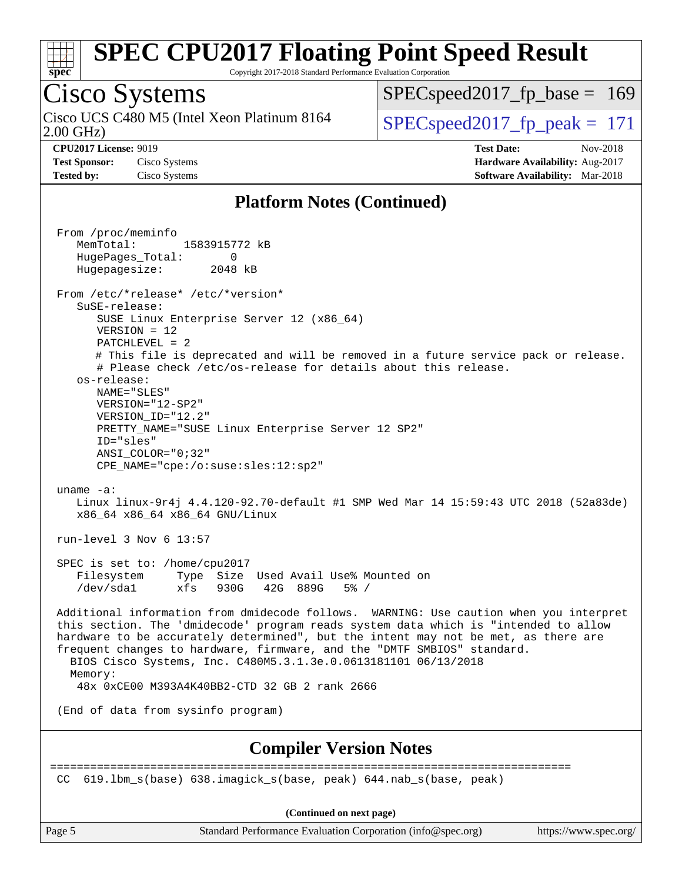

Copyright 2017-2018 Standard Performance Evaluation Corporation

## Cisco Systems

2.00 GHz) Cisco UCS C480 M5 (Intel Xeon Platinum 8164  $\vert$  SPECspeed2017 fp\_peak = 171

SPECspeed2017 fp base =  $169$ 

**[CPU2017 License:](http://www.spec.org/auto/cpu2017/Docs/result-fields.html#CPU2017License)** 9019 **[Test Date:](http://www.spec.org/auto/cpu2017/Docs/result-fields.html#TestDate)** Nov-2018 **[Test Sponsor:](http://www.spec.org/auto/cpu2017/Docs/result-fields.html#TestSponsor)** Cisco Systems **[Hardware Availability:](http://www.spec.org/auto/cpu2017/Docs/result-fields.html#HardwareAvailability)** Aug-2017 **[Tested by:](http://www.spec.org/auto/cpu2017/Docs/result-fields.html#Testedby)** Cisco Systems **[Software Availability:](http://www.spec.org/auto/cpu2017/Docs/result-fields.html#SoftwareAvailability)** Mar-2018

#### **[Platform Notes \(Continued\)](http://www.spec.org/auto/cpu2017/Docs/result-fields.html#PlatformNotes)**

 From /proc/meminfo MemTotal: 1583915772 kB HugePages\_Total: 0 Hugepagesize: 2048 kB From /etc/\*release\* /etc/\*version\* SuSE-release: SUSE Linux Enterprise Server 12 (x86\_64) VERSION = 12 PATCHLEVEL = 2 # This file is deprecated and will be removed in a future service pack or release. # Please check /etc/os-release for details about this release. os-release: NAME="SLES" VERSION="12-SP2" VERSION\_ID="12.2" PRETTY\_NAME="SUSE Linux Enterprise Server 12 SP2" ID="sles" ANSI\_COLOR="0;32" CPE\_NAME="cpe:/o:suse:sles:12:sp2" uname -a: Linux linux-9r4j 4.4.120-92.70-default #1 SMP Wed Mar 14 15:59:43 UTC 2018 (52a83de) x86\_64 x86\_64 x86\_64 GNU/Linux run-level 3 Nov 6 13:57 SPEC is set to: /home/cpu2017 Filesystem Type Size Used Avail Use% Mounted on /dev/sda1 xfs 930G 42G 889G 5% / Additional information from dmidecode follows. WARNING: Use caution when you interpret this section. The 'dmidecode' program reads system data which is "intended to allow hardware to be accurately determined", but the intent may not be met, as there are frequent changes to hardware, firmware, and the "DMTF SMBIOS" standard. BIOS Cisco Systems, Inc. C480M5.3.1.3e.0.0613181101 06/13/2018 Memory: 48x 0xCE00 M393A4K40BB2-CTD 32 GB 2 rank 2666 (End of data from sysinfo program) **[Compiler Version Notes](http://www.spec.org/auto/cpu2017/Docs/result-fields.html#CompilerVersionNotes)** ============================================================================== CC 619.lbm\_s(base) 638.imagick\_s(base, peak) 644.nab\_s(base, peak) **(Continued on next page)**

Page 5 Standard Performance Evaluation Corporation [\(info@spec.org\)](mailto:info@spec.org) <https://www.spec.org/>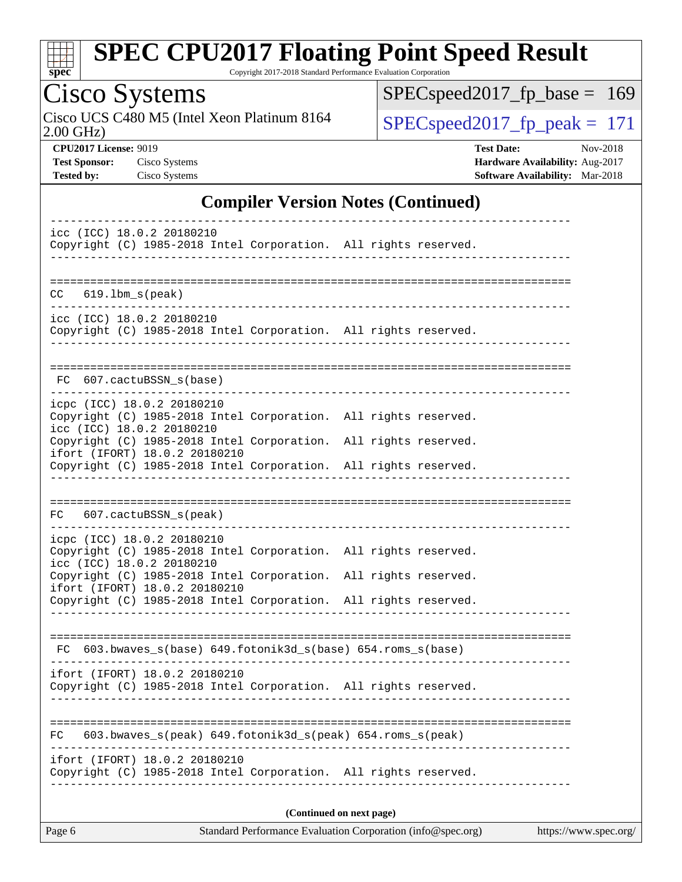

Copyright 2017-2018 Standard Performance Evaluation Corporation

Cisco Systems<br>Cisco UCS C480 M5 (Intel Xeon Platinum 8164 2.00 GHz)

[SPECspeed2017\\_fp\\_base =](http://www.spec.org/auto/cpu2017/Docs/result-fields.html#SPECspeed2017fpbase) 169

 $SPEC speed2017_fp\_peak = 171$ 

**[CPU2017 License:](http://www.spec.org/auto/cpu2017/Docs/result-fields.html#CPU2017License)** 9019 **[Test Date:](http://www.spec.org/auto/cpu2017/Docs/result-fields.html#TestDate)** Nov-2018 **[Test Sponsor:](http://www.spec.org/auto/cpu2017/Docs/result-fields.html#TestSponsor)** Cisco Systems **[Hardware Availability:](http://www.spec.org/auto/cpu2017/Docs/result-fields.html#HardwareAvailability)** Aug-2017 **[Tested by:](http://www.spec.org/auto/cpu2017/Docs/result-fields.html#Testedby)** Cisco Systems **[Software Availability:](http://www.spec.org/auto/cpu2017/Docs/result-fields.html#SoftwareAvailability)** Mar-2018

#### **[Compiler Version Notes \(Continued\)](http://www.spec.org/auto/cpu2017/Docs/result-fields.html#CompilerVersionNotes)**

| icc (ICC) 18.0.2 20180210<br>Copyright (C) 1985-2018 Intel Corporation. All rights reserved.                                                                                                  |  |  |  |  |  |
|-----------------------------------------------------------------------------------------------------------------------------------------------------------------------------------------------|--|--|--|--|--|
| $619.1$ bm_s(peak)<br>CC.                                                                                                                                                                     |  |  |  |  |  |
| ___________________________<br>icc (ICC) 18.0.2 20180210<br>Copyright (C) 1985-2018 Intel Corporation. All rights reserved.                                                                   |  |  |  |  |  |
| FC 607.cactuBSSN_s(base)                                                                                                                                                                      |  |  |  |  |  |
| icpc (ICC) 18.0.2 20180210<br>Copyright (C) 1985-2018 Intel Corporation. All rights reserved.<br>icc (ICC) 18.0.2 20180210                                                                    |  |  |  |  |  |
| Copyright (C) 1985-2018 Intel Corporation. All rights reserved.<br>ifort (IFORT) 18.0.2 20180210<br>Copyright (C) 1985-2018 Intel Corporation. All rights reserved.                           |  |  |  |  |  |
| FC 607.cactuBSSN_s(peak)                                                                                                                                                                      |  |  |  |  |  |
| icpc (ICC) 18.0.2 20180210<br>Copyright (C) 1985-2018 Intel Corporation. All rights reserved.<br>icc (ICC) 18.0.2 20180210<br>Copyright (C) 1985-2018 Intel Corporation. All rights reserved. |  |  |  |  |  |
| ifort (IFORT) 18.0.2 20180210<br>Copyright (C) 1985-2018 Intel Corporation. All rights reserved.                                                                                              |  |  |  |  |  |
| FC 603.bwaves_s(base) 649.fotonik3d_s(base) 654.roms_s(base)                                                                                                                                  |  |  |  |  |  |
| ifort (IFORT) 18.0.2 20180210<br>Copyright (C) 1985-2018 Intel Corporation. All rights reserved.                                                                                              |  |  |  |  |  |
| 603.bwaves_s(peak) 649.fotonik3d_s(peak) 654.roms_s(peak)<br>FC.                                                                                                                              |  |  |  |  |  |
| ifort (IFORT) 18.0.2 20180210<br>Copyright (C) 1985-2018 Intel Corporation. All rights reserved.                                                                                              |  |  |  |  |  |
| (Continued on next page)                                                                                                                                                                      |  |  |  |  |  |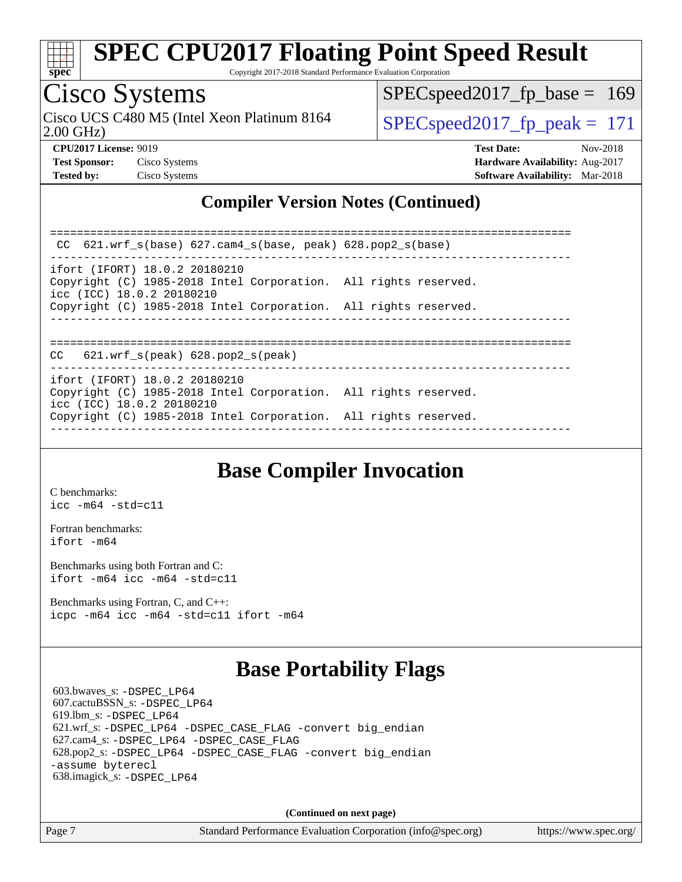

Copyright 2017-2018 Standard Performance Evaluation Corporation

## Cisco Systems

Cisco UCS C480 M5 (Intel Xeon Platinum 8164<br>2.00 GHz)

SPECspeed2017 fp peak =  $171$ SPECspeed2017 fp base =  $169$ 

**[Tested by:](http://www.spec.org/auto/cpu2017/Docs/result-fields.html#Testedby)** Cisco Systems **[Software Availability:](http://www.spec.org/auto/cpu2017/Docs/result-fields.html#SoftwareAvailability)** Mar-2018

**[CPU2017 License:](http://www.spec.org/auto/cpu2017/Docs/result-fields.html#CPU2017License)** 9019 **[Test Date:](http://www.spec.org/auto/cpu2017/Docs/result-fields.html#TestDate)** Nov-2018 **[Test Sponsor:](http://www.spec.org/auto/cpu2017/Docs/result-fields.html#TestSponsor)** Cisco Systems **[Hardware Availability:](http://www.spec.org/auto/cpu2017/Docs/result-fields.html#HardwareAvailability)** Aug-2017

#### **[Compiler Version Notes \(Continued\)](http://www.spec.org/auto/cpu2017/Docs/result-fields.html#CompilerVersionNotes)**

============================================================================== CC 621.wrf\_s(base) 627.cam4\_s(base, peak) 628.pop2\_s(base) ----------------------------------------------------------------------------- ifort (IFORT) 18.0.2 20180210 Copyright (C) 1985-2018 Intel Corporation. All rights reserved. icc (ICC) 18.0.2 20180210 Copyright (C) 1985-2018 Intel Corporation. All rights reserved. ------------------------------------------------------------------------------ ============================================================================== CC 621.wrf\_s(peak) 628.pop2\_s(peak) ----------------------------------------------------------------------------- ifort (IFORT) 18.0.2 20180210 Copyright (C) 1985-2018 Intel Corporation. All rights reserved. icc (ICC) 18.0.2 20180210 Copyright (C) 1985-2018 Intel Corporation. All rights reserved. ------------------------------------------------------------------------------

## **[Base Compiler Invocation](http://www.spec.org/auto/cpu2017/Docs/result-fields.html#BaseCompilerInvocation)**

[C benchmarks](http://www.spec.org/auto/cpu2017/Docs/result-fields.html#Cbenchmarks): [icc -m64 -std=c11](http://www.spec.org/cpu2017/results/res2018q4/cpu2017-20181113-09738.flags.html#user_CCbase_intel_icc_64bit_c11_33ee0cdaae7deeeab2a9725423ba97205ce30f63b9926c2519791662299b76a0318f32ddfffdc46587804de3178b4f9328c46fa7c2b0cd779d7a61945c91cd35)

[Fortran benchmarks](http://www.spec.org/auto/cpu2017/Docs/result-fields.html#Fortranbenchmarks): [ifort -m64](http://www.spec.org/cpu2017/results/res2018q4/cpu2017-20181113-09738.flags.html#user_FCbase_intel_ifort_64bit_24f2bb282fbaeffd6157abe4f878425411749daecae9a33200eee2bee2fe76f3b89351d69a8130dd5949958ce389cf37ff59a95e7a40d588e8d3a57e0c3fd751)

[Benchmarks using both Fortran and C](http://www.spec.org/auto/cpu2017/Docs/result-fields.html#BenchmarksusingbothFortranandC): [ifort -m64](http://www.spec.org/cpu2017/results/res2018q4/cpu2017-20181113-09738.flags.html#user_CC_FCbase_intel_ifort_64bit_24f2bb282fbaeffd6157abe4f878425411749daecae9a33200eee2bee2fe76f3b89351d69a8130dd5949958ce389cf37ff59a95e7a40d588e8d3a57e0c3fd751) [icc -m64 -std=c11](http://www.spec.org/cpu2017/results/res2018q4/cpu2017-20181113-09738.flags.html#user_CC_FCbase_intel_icc_64bit_c11_33ee0cdaae7deeeab2a9725423ba97205ce30f63b9926c2519791662299b76a0318f32ddfffdc46587804de3178b4f9328c46fa7c2b0cd779d7a61945c91cd35)

[Benchmarks using Fortran, C, and C++:](http://www.spec.org/auto/cpu2017/Docs/result-fields.html#BenchmarksusingFortranCandCXX) [icpc -m64](http://www.spec.org/cpu2017/results/res2018q4/cpu2017-20181113-09738.flags.html#user_CC_CXX_FCbase_intel_icpc_64bit_4ecb2543ae3f1412ef961e0650ca070fec7b7afdcd6ed48761b84423119d1bf6bdf5cad15b44d48e7256388bc77273b966e5eb805aefd121eb22e9299b2ec9d9) [icc -m64 -std=c11](http://www.spec.org/cpu2017/results/res2018q4/cpu2017-20181113-09738.flags.html#user_CC_CXX_FCbase_intel_icc_64bit_c11_33ee0cdaae7deeeab2a9725423ba97205ce30f63b9926c2519791662299b76a0318f32ddfffdc46587804de3178b4f9328c46fa7c2b0cd779d7a61945c91cd35) [ifort -m64](http://www.spec.org/cpu2017/results/res2018q4/cpu2017-20181113-09738.flags.html#user_CC_CXX_FCbase_intel_ifort_64bit_24f2bb282fbaeffd6157abe4f878425411749daecae9a33200eee2bee2fe76f3b89351d69a8130dd5949958ce389cf37ff59a95e7a40d588e8d3a57e0c3fd751)

### **[Base Portability Flags](http://www.spec.org/auto/cpu2017/Docs/result-fields.html#BasePortabilityFlags)**

 603.bwaves\_s: [-DSPEC\\_LP64](http://www.spec.org/cpu2017/results/res2018q4/cpu2017-20181113-09738.flags.html#suite_basePORTABILITY603_bwaves_s_DSPEC_LP64) 607.cactuBSSN\_s: [-DSPEC\\_LP64](http://www.spec.org/cpu2017/results/res2018q4/cpu2017-20181113-09738.flags.html#suite_basePORTABILITY607_cactuBSSN_s_DSPEC_LP64) 619.lbm\_s: [-DSPEC\\_LP64](http://www.spec.org/cpu2017/results/res2018q4/cpu2017-20181113-09738.flags.html#suite_basePORTABILITY619_lbm_s_DSPEC_LP64) 621.wrf\_s: [-DSPEC\\_LP64](http://www.spec.org/cpu2017/results/res2018q4/cpu2017-20181113-09738.flags.html#suite_basePORTABILITY621_wrf_s_DSPEC_LP64) [-DSPEC\\_CASE\\_FLAG](http://www.spec.org/cpu2017/results/res2018q4/cpu2017-20181113-09738.flags.html#b621.wrf_s_baseCPORTABILITY_DSPEC_CASE_FLAG) [-convert big\\_endian](http://www.spec.org/cpu2017/results/res2018q4/cpu2017-20181113-09738.flags.html#user_baseFPORTABILITY621_wrf_s_convert_big_endian_c3194028bc08c63ac5d04de18c48ce6d347e4e562e8892b8bdbdc0214820426deb8554edfa529a3fb25a586e65a3d812c835984020483e7e73212c4d31a38223) 627.cam4\_s: [-DSPEC\\_LP64](http://www.spec.org/cpu2017/results/res2018q4/cpu2017-20181113-09738.flags.html#suite_basePORTABILITY627_cam4_s_DSPEC_LP64) [-DSPEC\\_CASE\\_FLAG](http://www.spec.org/cpu2017/results/res2018q4/cpu2017-20181113-09738.flags.html#b627.cam4_s_baseCPORTABILITY_DSPEC_CASE_FLAG) 628.pop2\_s: [-DSPEC\\_LP64](http://www.spec.org/cpu2017/results/res2018q4/cpu2017-20181113-09738.flags.html#suite_basePORTABILITY628_pop2_s_DSPEC_LP64) [-DSPEC\\_CASE\\_FLAG](http://www.spec.org/cpu2017/results/res2018q4/cpu2017-20181113-09738.flags.html#b628.pop2_s_baseCPORTABILITY_DSPEC_CASE_FLAG) [-convert big\\_endian](http://www.spec.org/cpu2017/results/res2018q4/cpu2017-20181113-09738.flags.html#user_baseFPORTABILITY628_pop2_s_convert_big_endian_c3194028bc08c63ac5d04de18c48ce6d347e4e562e8892b8bdbdc0214820426deb8554edfa529a3fb25a586e65a3d812c835984020483e7e73212c4d31a38223) [-assume byterecl](http://www.spec.org/cpu2017/results/res2018q4/cpu2017-20181113-09738.flags.html#user_baseFPORTABILITY628_pop2_s_assume_byterecl_7e47d18b9513cf18525430bbf0f2177aa9bf368bc7a059c09b2c06a34b53bd3447c950d3f8d6c70e3faf3a05c8557d66a5798b567902e8849adc142926523472) 638.imagick\_s: [-DSPEC\\_LP64](http://www.spec.org/cpu2017/results/res2018q4/cpu2017-20181113-09738.flags.html#suite_basePORTABILITY638_imagick_s_DSPEC_LP64)

**(Continued on next page)**

Page 7 Standard Performance Evaluation Corporation [\(info@spec.org\)](mailto:info@spec.org) <https://www.spec.org/>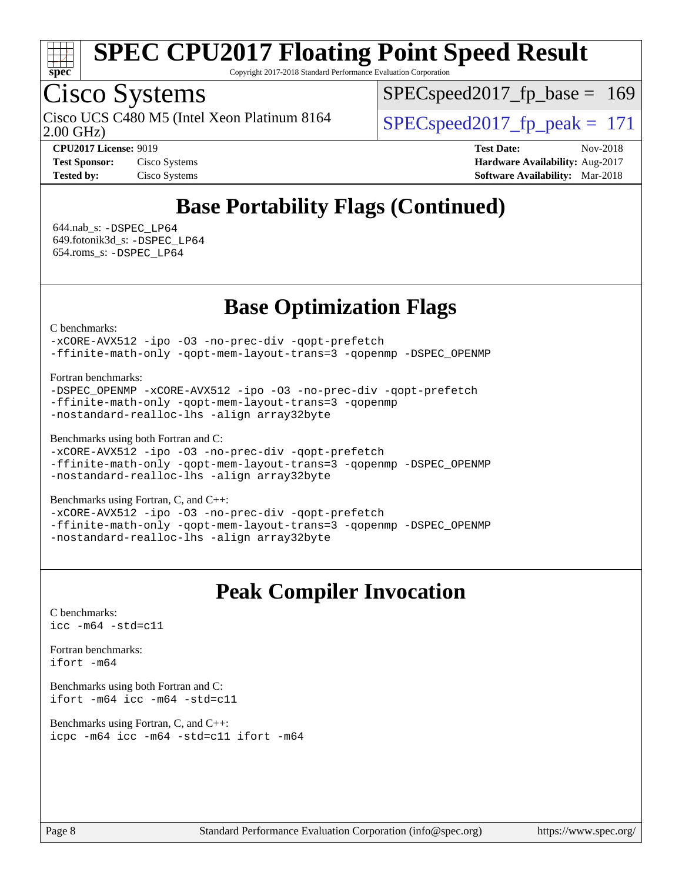

Copyright 2017-2018 Standard Performance Evaluation Corporation

## Cisco Systems

2.00 GHz) Cisco UCS C480 M5 (Intel Xeon Platinum 8164  $\vert$  SPECspeed2017 fp\_peak = 171

SPECspeed2017 fp base =  $169$ 

**[CPU2017 License:](http://www.spec.org/auto/cpu2017/Docs/result-fields.html#CPU2017License)** 9019 **[Test Date:](http://www.spec.org/auto/cpu2017/Docs/result-fields.html#TestDate)** Nov-2018 **[Test Sponsor:](http://www.spec.org/auto/cpu2017/Docs/result-fields.html#TestSponsor)** Cisco Systems **[Hardware Availability:](http://www.spec.org/auto/cpu2017/Docs/result-fields.html#HardwareAvailability)** Aug-2017 **[Tested by:](http://www.spec.org/auto/cpu2017/Docs/result-fields.html#Testedby)** Cisco Systems **[Software Availability:](http://www.spec.org/auto/cpu2017/Docs/result-fields.html#SoftwareAvailability)** Mar-2018

## **[Base Portability Flags \(Continued\)](http://www.spec.org/auto/cpu2017/Docs/result-fields.html#BasePortabilityFlags)**

 644.nab\_s: [-DSPEC\\_LP64](http://www.spec.org/cpu2017/results/res2018q4/cpu2017-20181113-09738.flags.html#suite_basePORTABILITY644_nab_s_DSPEC_LP64) 649.fotonik3d\_s: [-DSPEC\\_LP64](http://www.spec.org/cpu2017/results/res2018q4/cpu2017-20181113-09738.flags.html#suite_basePORTABILITY649_fotonik3d_s_DSPEC_LP64) 654.roms\_s: [-DSPEC\\_LP64](http://www.spec.org/cpu2017/results/res2018q4/cpu2017-20181113-09738.flags.html#suite_basePORTABILITY654_roms_s_DSPEC_LP64)

### **[Base Optimization Flags](http://www.spec.org/auto/cpu2017/Docs/result-fields.html#BaseOptimizationFlags)**

[C benchmarks](http://www.spec.org/auto/cpu2017/Docs/result-fields.html#Cbenchmarks):

[-xCORE-AVX512](http://www.spec.org/cpu2017/results/res2018q4/cpu2017-20181113-09738.flags.html#user_CCbase_f-xCORE-AVX512) [-ipo](http://www.spec.org/cpu2017/results/res2018q4/cpu2017-20181113-09738.flags.html#user_CCbase_f-ipo) [-O3](http://www.spec.org/cpu2017/results/res2018q4/cpu2017-20181113-09738.flags.html#user_CCbase_f-O3) [-no-prec-div](http://www.spec.org/cpu2017/results/res2018q4/cpu2017-20181113-09738.flags.html#user_CCbase_f-no-prec-div) [-qopt-prefetch](http://www.spec.org/cpu2017/results/res2018q4/cpu2017-20181113-09738.flags.html#user_CCbase_f-qopt-prefetch) [-ffinite-math-only](http://www.spec.org/cpu2017/results/res2018q4/cpu2017-20181113-09738.flags.html#user_CCbase_f_finite_math_only_cb91587bd2077682c4b38af759c288ed7c732db004271a9512da14a4f8007909a5f1427ecbf1a0fb78ff2a814402c6114ac565ca162485bbcae155b5e4258871) [-qopt-mem-layout-trans=3](http://www.spec.org/cpu2017/results/res2018q4/cpu2017-20181113-09738.flags.html#user_CCbase_f-qopt-mem-layout-trans_de80db37974c74b1f0e20d883f0b675c88c3b01e9d123adea9b28688d64333345fb62bc4a798493513fdb68f60282f9a726aa07f478b2f7113531aecce732043) [-qopenmp](http://www.spec.org/cpu2017/results/res2018q4/cpu2017-20181113-09738.flags.html#user_CCbase_qopenmp_16be0c44f24f464004c6784a7acb94aca937f053568ce72f94b139a11c7c168634a55f6653758ddd83bcf7b8463e8028bb0b48b77bcddc6b78d5d95bb1df2967) [-DSPEC\\_OPENMP](http://www.spec.org/cpu2017/results/res2018q4/cpu2017-20181113-09738.flags.html#suite_CCbase_DSPEC_OPENMP)

[Fortran benchmarks](http://www.spec.org/auto/cpu2017/Docs/result-fields.html#Fortranbenchmarks):

[-DSPEC\\_OPENMP](http://www.spec.org/cpu2017/results/res2018q4/cpu2017-20181113-09738.flags.html#suite_FCbase_DSPEC_OPENMP) [-xCORE-AVX512](http://www.spec.org/cpu2017/results/res2018q4/cpu2017-20181113-09738.flags.html#user_FCbase_f-xCORE-AVX512) [-ipo](http://www.spec.org/cpu2017/results/res2018q4/cpu2017-20181113-09738.flags.html#user_FCbase_f-ipo) [-O3](http://www.spec.org/cpu2017/results/res2018q4/cpu2017-20181113-09738.flags.html#user_FCbase_f-O3) [-no-prec-div](http://www.spec.org/cpu2017/results/res2018q4/cpu2017-20181113-09738.flags.html#user_FCbase_f-no-prec-div) [-qopt-prefetch](http://www.spec.org/cpu2017/results/res2018q4/cpu2017-20181113-09738.flags.html#user_FCbase_f-qopt-prefetch) [-ffinite-math-only](http://www.spec.org/cpu2017/results/res2018q4/cpu2017-20181113-09738.flags.html#user_FCbase_f_finite_math_only_cb91587bd2077682c4b38af759c288ed7c732db004271a9512da14a4f8007909a5f1427ecbf1a0fb78ff2a814402c6114ac565ca162485bbcae155b5e4258871) [-qopt-mem-layout-trans=3](http://www.spec.org/cpu2017/results/res2018q4/cpu2017-20181113-09738.flags.html#user_FCbase_f-qopt-mem-layout-trans_de80db37974c74b1f0e20d883f0b675c88c3b01e9d123adea9b28688d64333345fb62bc4a798493513fdb68f60282f9a726aa07f478b2f7113531aecce732043) [-qopenmp](http://www.spec.org/cpu2017/results/res2018q4/cpu2017-20181113-09738.flags.html#user_FCbase_qopenmp_16be0c44f24f464004c6784a7acb94aca937f053568ce72f94b139a11c7c168634a55f6653758ddd83bcf7b8463e8028bb0b48b77bcddc6b78d5d95bb1df2967) [-nostandard-realloc-lhs](http://www.spec.org/cpu2017/results/res2018q4/cpu2017-20181113-09738.flags.html#user_FCbase_f_2003_std_realloc_82b4557e90729c0f113870c07e44d33d6f5a304b4f63d4c15d2d0f1fab99f5daaed73bdb9275d9ae411527f28b936061aa8b9c8f2d63842963b95c9dd6426b8a) [-align array32byte](http://www.spec.org/cpu2017/results/res2018q4/cpu2017-20181113-09738.flags.html#user_FCbase_align_array32byte_b982fe038af199962ba9a80c053b8342c548c85b40b8e86eb3cc33dee0d7986a4af373ac2d51c3f7cf710a18d62fdce2948f201cd044323541f22fc0fffc51b6)

[Benchmarks using both Fortran and C](http://www.spec.org/auto/cpu2017/Docs/result-fields.html#BenchmarksusingbothFortranandC):

```
-xCORE-AVX512-ipo-no-prec-div-qopt-prefetch
-ffinite-math-only -qopt-mem-layout-trans=3 -qopenmp -DSPEC_OPENMP
-nostandard-realloc-lhs -align array32byte
```
[Benchmarks using Fortran, C, and C++:](http://www.spec.org/auto/cpu2017/Docs/result-fields.html#BenchmarksusingFortranCandCXX)

[-xCORE-AVX512](http://www.spec.org/cpu2017/results/res2018q4/cpu2017-20181113-09738.flags.html#user_CC_CXX_FCbase_f-xCORE-AVX512) [-ipo](http://www.spec.org/cpu2017/results/res2018q4/cpu2017-20181113-09738.flags.html#user_CC_CXX_FCbase_f-ipo) [-O3](http://www.spec.org/cpu2017/results/res2018q4/cpu2017-20181113-09738.flags.html#user_CC_CXX_FCbase_f-O3) [-no-prec-div](http://www.spec.org/cpu2017/results/res2018q4/cpu2017-20181113-09738.flags.html#user_CC_CXX_FCbase_f-no-prec-div) [-qopt-prefetch](http://www.spec.org/cpu2017/results/res2018q4/cpu2017-20181113-09738.flags.html#user_CC_CXX_FCbase_f-qopt-prefetch) [-ffinite-math-only](http://www.spec.org/cpu2017/results/res2018q4/cpu2017-20181113-09738.flags.html#user_CC_CXX_FCbase_f_finite_math_only_cb91587bd2077682c4b38af759c288ed7c732db004271a9512da14a4f8007909a5f1427ecbf1a0fb78ff2a814402c6114ac565ca162485bbcae155b5e4258871) [-qopt-mem-layout-trans=3](http://www.spec.org/cpu2017/results/res2018q4/cpu2017-20181113-09738.flags.html#user_CC_CXX_FCbase_f-qopt-mem-layout-trans_de80db37974c74b1f0e20d883f0b675c88c3b01e9d123adea9b28688d64333345fb62bc4a798493513fdb68f60282f9a726aa07f478b2f7113531aecce732043) [-qopenmp](http://www.spec.org/cpu2017/results/res2018q4/cpu2017-20181113-09738.flags.html#user_CC_CXX_FCbase_qopenmp_16be0c44f24f464004c6784a7acb94aca937f053568ce72f94b139a11c7c168634a55f6653758ddd83bcf7b8463e8028bb0b48b77bcddc6b78d5d95bb1df2967) [-DSPEC\\_OPENMP](http://www.spec.org/cpu2017/results/res2018q4/cpu2017-20181113-09738.flags.html#suite_CC_CXX_FCbase_DSPEC_OPENMP) [-nostandard-realloc-lhs](http://www.spec.org/cpu2017/results/res2018q4/cpu2017-20181113-09738.flags.html#user_CC_CXX_FCbase_f_2003_std_realloc_82b4557e90729c0f113870c07e44d33d6f5a304b4f63d4c15d2d0f1fab99f5daaed73bdb9275d9ae411527f28b936061aa8b9c8f2d63842963b95c9dd6426b8a) [-align array32byte](http://www.spec.org/cpu2017/results/res2018q4/cpu2017-20181113-09738.flags.html#user_CC_CXX_FCbase_align_array32byte_b982fe038af199962ba9a80c053b8342c548c85b40b8e86eb3cc33dee0d7986a4af373ac2d51c3f7cf710a18d62fdce2948f201cd044323541f22fc0fffc51b6)

### **[Peak Compiler Invocation](http://www.spec.org/auto/cpu2017/Docs/result-fields.html#PeakCompilerInvocation)**

[C benchmarks](http://www.spec.org/auto/cpu2017/Docs/result-fields.html#Cbenchmarks): [icc -m64 -std=c11](http://www.spec.org/cpu2017/results/res2018q4/cpu2017-20181113-09738.flags.html#user_CCpeak_intel_icc_64bit_c11_33ee0cdaae7deeeab2a9725423ba97205ce30f63b9926c2519791662299b76a0318f32ddfffdc46587804de3178b4f9328c46fa7c2b0cd779d7a61945c91cd35)

[Fortran benchmarks](http://www.spec.org/auto/cpu2017/Docs/result-fields.html#Fortranbenchmarks): [ifort -m64](http://www.spec.org/cpu2017/results/res2018q4/cpu2017-20181113-09738.flags.html#user_FCpeak_intel_ifort_64bit_24f2bb282fbaeffd6157abe4f878425411749daecae9a33200eee2bee2fe76f3b89351d69a8130dd5949958ce389cf37ff59a95e7a40d588e8d3a57e0c3fd751)

[Benchmarks using both Fortran and C](http://www.spec.org/auto/cpu2017/Docs/result-fields.html#BenchmarksusingbothFortranandC): [ifort -m64](http://www.spec.org/cpu2017/results/res2018q4/cpu2017-20181113-09738.flags.html#user_CC_FCpeak_intel_ifort_64bit_24f2bb282fbaeffd6157abe4f878425411749daecae9a33200eee2bee2fe76f3b89351d69a8130dd5949958ce389cf37ff59a95e7a40d588e8d3a57e0c3fd751) [icc -m64 -std=c11](http://www.spec.org/cpu2017/results/res2018q4/cpu2017-20181113-09738.flags.html#user_CC_FCpeak_intel_icc_64bit_c11_33ee0cdaae7deeeab2a9725423ba97205ce30f63b9926c2519791662299b76a0318f32ddfffdc46587804de3178b4f9328c46fa7c2b0cd779d7a61945c91cd35)

[Benchmarks using Fortran, C, and C++:](http://www.spec.org/auto/cpu2017/Docs/result-fields.html#BenchmarksusingFortranCandCXX) [icpc -m64](http://www.spec.org/cpu2017/results/res2018q4/cpu2017-20181113-09738.flags.html#user_CC_CXX_FCpeak_intel_icpc_64bit_4ecb2543ae3f1412ef961e0650ca070fec7b7afdcd6ed48761b84423119d1bf6bdf5cad15b44d48e7256388bc77273b966e5eb805aefd121eb22e9299b2ec9d9) [icc -m64 -std=c11](http://www.spec.org/cpu2017/results/res2018q4/cpu2017-20181113-09738.flags.html#user_CC_CXX_FCpeak_intel_icc_64bit_c11_33ee0cdaae7deeeab2a9725423ba97205ce30f63b9926c2519791662299b76a0318f32ddfffdc46587804de3178b4f9328c46fa7c2b0cd779d7a61945c91cd35) [ifort -m64](http://www.spec.org/cpu2017/results/res2018q4/cpu2017-20181113-09738.flags.html#user_CC_CXX_FCpeak_intel_ifort_64bit_24f2bb282fbaeffd6157abe4f878425411749daecae9a33200eee2bee2fe76f3b89351d69a8130dd5949958ce389cf37ff59a95e7a40d588e8d3a57e0c3fd751)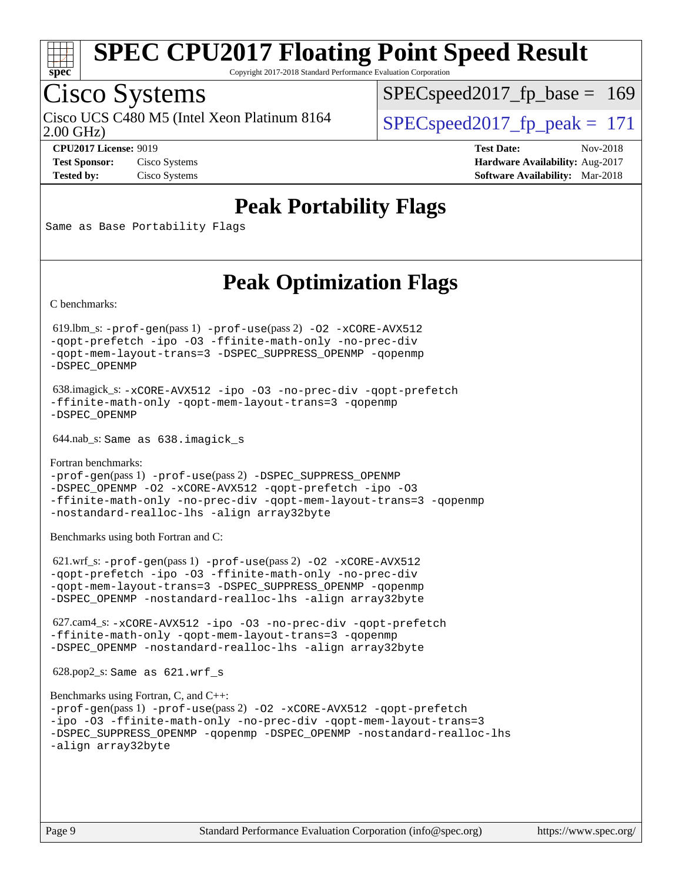

Copyright 2017-2018 Standard Performance Evaluation Corporation

## Cisco Systems

Cisco UCS C480 M5 (Intel Xeon Platinum 8164  $\vert$  SPECspeed2017 fp\_peak = 171

 $SPEC speed2017_fp\_base = 169$ 

2.00 GHz)

**[Test Sponsor:](http://www.spec.org/auto/cpu2017/Docs/result-fields.html#TestSponsor)** Cisco Systems **[Hardware Availability:](http://www.spec.org/auto/cpu2017/Docs/result-fields.html#HardwareAvailability)** Aug-2017

**[CPU2017 License:](http://www.spec.org/auto/cpu2017/Docs/result-fields.html#CPU2017License)** 9019 **[Test Date:](http://www.spec.org/auto/cpu2017/Docs/result-fields.html#TestDate)** Nov-2018

**[Tested by:](http://www.spec.org/auto/cpu2017/Docs/result-fields.html#Testedby)** Cisco Systems **[Software Availability:](http://www.spec.org/auto/cpu2017/Docs/result-fields.html#SoftwareAvailability)** Mar-2018

### **[Peak Portability Flags](http://www.spec.org/auto/cpu2017/Docs/result-fields.html#PeakPortabilityFlags)**

Same as Base Portability Flags

### **[Peak Optimization Flags](http://www.spec.org/auto/cpu2017/Docs/result-fields.html#PeakOptimizationFlags)**

[C benchmarks](http://www.spec.org/auto/cpu2017/Docs/result-fields.html#Cbenchmarks):

 619.lbm\_s: [-prof-gen](http://www.spec.org/cpu2017/results/res2018q4/cpu2017-20181113-09738.flags.html#user_peakPASS1_CFLAGSPASS1_LDFLAGS619_lbm_s_prof_gen_5aa4926d6013ddb2a31985c654b3eb18169fc0c6952a63635c234f711e6e63dd76e94ad52365559451ec499a2cdb89e4dc58ba4c67ef54ca681ffbe1461d6b36)(pass 1) [-prof-use](http://www.spec.org/cpu2017/results/res2018q4/cpu2017-20181113-09738.flags.html#user_peakPASS2_CFLAGSPASS2_LDFLAGS619_lbm_s_prof_use_1a21ceae95f36a2b53c25747139a6c16ca95bd9def2a207b4f0849963b97e94f5260e30a0c64f4bb623698870e679ca08317ef8150905d41bd88c6f78df73f19)(pass 2) [-O2](http://www.spec.org/cpu2017/results/res2018q4/cpu2017-20181113-09738.flags.html#user_peakPASS1_COPTIMIZE619_lbm_s_f-O2) [-xCORE-AVX512](http://www.spec.org/cpu2017/results/res2018q4/cpu2017-20181113-09738.flags.html#user_peakPASS2_COPTIMIZE619_lbm_s_f-xCORE-AVX512) [-qopt-prefetch](http://www.spec.org/cpu2017/results/res2018q4/cpu2017-20181113-09738.flags.html#user_peakPASS1_COPTIMIZEPASS2_COPTIMIZE619_lbm_s_f-qopt-prefetch) [-ipo](http://www.spec.org/cpu2017/results/res2018q4/cpu2017-20181113-09738.flags.html#user_peakPASS2_COPTIMIZE619_lbm_s_f-ipo) [-O3](http://www.spec.org/cpu2017/results/res2018q4/cpu2017-20181113-09738.flags.html#user_peakPASS2_COPTIMIZE619_lbm_s_f-O3) [-ffinite-math-only](http://www.spec.org/cpu2017/results/res2018q4/cpu2017-20181113-09738.flags.html#user_peakPASS1_COPTIMIZEPASS2_COPTIMIZE619_lbm_s_f_finite_math_only_cb91587bd2077682c4b38af759c288ed7c732db004271a9512da14a4f8007909a5f1427ecbf1a0fb78ff2a814402c6114ac565ca162485bbcae155b5e4258871) [-no-prec-div](http://www.spec.org/cpu2017/results/res2018q4/cpu2017-20181113-09738.flags.html#user_peakPASS2_COPTIMIZE619_lbm_s_f-no-prec-div) [-qopt-mem-layout-trans=3](http://www.spec.org/cpu2017/results/res2018q4/cpu2017-20181113-09738.flags.html#user_peakPASS1_COPTIMIZEPASS2_COPTIMIZE619_lbm_s_f-qopt-mem-layout-trans_de80db37974c74b1f0e20d883f0b675c88c3b01e9d123adea9b28688d64333345fb62bc4a798493513fdb68f60282f9a726aa07f478b2f7113531aecce732043) [-DSPEC\\_SUPPRESS\\_OPENMP](http://www.spec.org/cpu2017/results/res2018q4/cpu2017-20181113-09738.flags.html#suite_peakPASS1_COPTIMIZE619_lbm_s_DSPEC_SUPPRESS_OPENMP) [-qopenmp](http://www.spec.org/cpu2017/results/res2018q4/cpu2017-20181113-09738.flags.html#user_peakPASS2_COPTIMIZE619_lbm_s_qopenmp_16be0c44f24f464004c6784a7acb94aca937f053568ce72f94b139a11c7c168634a55f6653758ddd83bcf7b8463e8028bb0b48b77bcddc6b78d5d95bb1df2967) [-DSPEC\\_OPENMP](http://www.spec.org/cpu2017/results/res2018q4/cpu2017-20181113-09738.flags.html#suite_peakPASS2_COPTIMIZE619_lbm_s_DSPEC_OPENMP)

 638.imagick\_s: [-xCORE-AVX512](http://www.spec.org/cpu2017/results/res2018q4/cpu2017-20181113-09738.flags.html#user_peakCOPTIMIZE638_imagick_s_f-xCORE-AVX512) [-ipo](http://www.spec.org/cpu2017/results/res2018q4/cpu2017-20181113-09738.flags.html#user_peakCOPTIMIZE638_imagick_s_f-ipo) [-O3](http://www.spec.org/cpu2017/results/res2018q4/cpu2017-20181113-09738.flags.html#user_peakCOPTIMIZE638_imagick_s_f-O3) [-no-prec-div](http://www.spec.org/cpu2017/results/res2018q4/cpu2017-20181113-09738.flags.html#user_peakCOPTIMIZE638_imagick_s_f-no-prec-div) [-qopt-prefetch](http://www.spec.org/cpu2017/results/res2018q4/cpu2017-20181113-09738.flags.html#user_peakCOPTIMIZE638_imagick_s_f-qopt-prefetch) [-ffinite-math-only](http://www.spec.org/cpu2017/results/res2018q4/cpu2017-20181113-09738.flags.html#user_peakCOPTIMIZE638_imagick_s_f_finite_math_only_cb91587bd2077682c4b38af759c288ed7c732db004271a9512da14a4f8007909a5f1427ecbf1a0fb78ff2a814402c6114ac565ca162485bbcae155b5e4258871) [-qopt-mem-layout-trans=3](http://www.spec.org/cpu2017/results/res2018q4/cpu2017-20181113-09738.flags.html#user_peakCOPTIMIZE638_imagick_s_f-qopt-mem-layout-trans_de80db37974c74b1f0e20d883f0b675c88c3b01e9d123adea9b28688d64333345fb62bc4a798493513fdb68f60282f9a726aa07f478b2f7113531aecce732043) [-qopenmp](http://www.spec.org/cpu2017/results/res2018q4/cpu2017-20181113-09738.flags.html#user_peakCOPTIMIZE638_imagick_s_qopenmp_16be0c44f24f464004c6784a7acb94aca937f053568ce72f94b139a11c7c168634a55f6653758ddd83bcf7b8463e8028bb0b48b77bcddc6b78d5d95bb1df2967) [-DSPEC\\_OPENMP](http://www.spec.org/cpu2017/results/res2018q4/cpu2017-20181113-09738.flags.html#suite_peakCOPTIMIZE638_imagick_s_DSPEC_OPENMP)

644.nab\_s: Same as 638.imagick\_s

[Fortran benchmarks](http://www.spec.org/auto/cpu2017/Docs/result-fields.html#Fortranbenchmarks): [-prof-gen](http://www.spec.org/cpu2017/results/res2018q4/cpu2017-20181113-09738.flags.html#user_FCpeak_prof_gen_5aa4926d6013ddb2a31985c654b3eb18169fc0c6952a63635c234f711e6e63dd76e94ad52365559451ec499a2cdb89e4dc58ba4c67ef54ca681ffbe1461d6b36)(pass 1) [-prof-use](http://www.spec.org/cpu2017/results/res2018q4/cpu2017-20181113-09738.flags.html#user_FCpeak_prof_use_1a21ceae95f36a2b53c25747139a6c16ca95bd9def2a207b4f0849963b97e94f5260e30a0c64f4bb623698870e679ca08317ef8150905d41bd88c6f78df73f19)(pass 2) [-DSPEC\\_SUPPRESS\\_OPENMP](http://www.spec.org/cpu2017/results/res2018q4/cpu2017-20181113-09738.flags.html#suite_FCpeak_DSPEC_SUPPRESS_OPENMP)

[-DSPEC\\_OPENMP](http://www.spec.org/cpu2017/results/res2018q4/cpu2017-20181113-09738.flags.html#suite_FCpeak_DSPEC_OPENMP) [-O2](http://www.spec.org/cpu2017/results/res2018q4/cpu2017-20181113-09738.flags.html#user_FCpeak_f-O2) [-xCORE-AVX512](http://www.spec.org/cpu2017/results/res2018q4/cpu2017-20181113-09738.flags.html#user_FCpeak_f-xCORE-AVX512) [-qopt-prefetch](http://www.spec.org/cpu2017/results/res2018q4/cpu2017-20181113-09738.flags.html#user_FCpeak_f-qopt-prefetch) [-ipo](http://www.spec.org/cpu2017/results/res2018q4/cpu2017-20181113-09738.flags.html#user_FCpeak_f-ipo) [-O3](http://www.spec.org/cpu2017/results/res2018q4/cpu2017-20181113-09738.flags.html#user_FCpeak_f-O3) [-ffinite-math-only](http://www.spec.org/cpu2017/results/res2018q4/cpu2017-20181113-09738.flags.html#user_FCpeak_f_finite_math_only_cb91587bd2077682c4b38af759c288ed7c732db004271a9512da14a4f8007909a5f1427ecbf1a0fb78ff2a814402c6114ac565ca162485bbcae155b5e4258871) [-no-prec-div](http://www.spec.org/cpu2017/results/res2018q4/cpu2017-20181113-09738.flags.html#user_FCpeak_f-no-prec-div) [-qopt-mem-layout-trans=3](http://www.spec.org/cpu2017/results/res2018q4/cpu2017-20181113-09738.flags.html#user_FCpeak_f-qopt-mem-layout-trans_de80db37974c74b1f0e20d883f0b675c88c3b01e9d123adea9b28688d64333345fb62bc4a798493513fdb68f60282f9a726aa07f478b2f7113531aecce732043) [-qopenmp](http://www.spec.org/cpu2017/results/res2018q4/cpu2017-20181113-09738.flags.html#user_FCpeak_qopenmp_16be0c44f24f464004c6784a7acb94aca937f053568ce72f94b139a11c7c168634a55f6653758ddd83bcf7b8463e8028bb0b48b77bcddc6b78d5d95bb1df2967) [-nostandard-realloc-lhs](http://www.spec.org/cpu2017/results/res2018q4/cpu2017-20181113-09738.flags.html#user_FCpeak_f_2003_std_realloc_82b4557e90729c0f113870c07e44d33d6f5a304b4f63d4c15d2d0f1fab99f5daaed73bdb9275d9ae411527f28b936061aa8b9c8f2d63842963b95c9dd6426b8a) [-align array32byte](http://www.spec.org/cpu2017/results/res2018q4/cpu2017-20181113-09738.flags.html#user_FCpeak_align_array32byte_b982fe038af199962ba9a80c053b8342c548c85b40b8e86eb3cc33dee0d7986a4af373ac2d51c3f7cf710a18d62fdce2948f201cd044323541f22fc0fffc51b6)

[Benchmarks using both Fortran and C](http://www.spec.org/auto/cpu2017/Docs/result-fields.html#BenchmarksusingbothFortranandC):

 621.wrf\_s: [-prof-gen](http://www.spec.org/cpu2017/results/res2018q4/cpu2017-20181113-09738.flags.html#user_peakPASS1_CFLAGSPASS1_FFLAGSPASS1_LDFLAGS621_wrf_s_prof_gen_5aa4926d6013ddb2a31985c654b3eb18169fc0c6952a63635c234f711e6e63dd76e94ad52365559451ec499a2cdb89e4dc58ba4c67ef54ca681ffbe1461d6b36)(pass 1) [-prof-use](http://www.spec.org/cpu2017/results/res2018q4/cpu2017-20181113-09738.flags.html#user_peakPASS2_CFLAGSPASS2_FFLAGSPASS2_LDFLAGS621_wrf_s_prof_use_1a21ceae95f36a2b53c25747139a6c16ca95bd9def2a207b4f0849963b97e94f5260e30a0c64f4bb623698870e679ca08317ef8150905d41bd88c6f78df73f19)(pass 2) [-O2](http://www.spec.org/cpu2017/results/res2018q4/cpu2017-20181113-09738.flags.html#user_peakPASS1_COPTIMIZEPASS1_FOPTIMIZE621_wrf_s_f-O2) [-xCORE-AVX512](http://www.spec.org/cpu2017/results/res2018q4/cpu2017-20181113-09738.flags.html#user_peakPASS2_COPTIMIZEPASS2_FOPTIMIZE621_wrf_s_f-xCORE-AVX512) [-qopt-prefetch](http://www.spec.org/cpu2017/results/res2018q4/cpu2017-20181113-09738.flags.html#user_peakPASS1_COPTIMIZEPASS1_FOPTIMIZEPASS2_COPTIMIZEPASS2_FOPTIMIZE621_wrf_s_f-qopt-prefetch) [-ipo](http://www.spec.org/cpu2017/results/res2018q4/cpu2017-20181113-09738.flags.html#user_peakPASS2_COPTIMIZEPASS2_FOPTIMIZE621_wrf_s_f-ipo) [-O3](http://www.spec.org/cpu2017/results/res2018q4/cpu2017-20181113-09738.flags.html#user_peakPASS2_COPTIMIZEPASS2_FOPTIMIZE621_wrf_s_f-O3) [-ffinite-math-only](http://www.spec.org/cpu2017/results/res2018q4/cpu2017-20181113-09738.flags.html#user_peakPASS1_COPTIMIZEPASS1_FOPTIMIZEPASS2_COPTIMIZEPASS2_FOPTIMIZE621_wrf_s_f_finite_math_only_cb91587bd2077682c4b38af759c288ed7c732db004271a9512da14a4f8007909a5f1427ecbf1a0fb78ff2a814402c6114ac565ca162485bbcae155b5e4258871) [-no-prec-div](http://www.spec.org/cpu2017/results/res2018q4/cpu2017-20181113-09738.flags.html#user_peakPASS2_COPTIMIZEPASS2_FOPTIMIZE621_wrf_s_f-no-prec-div) [-qopt-mem-layout-trans=3](http://www.spec.org/cpu2017/results/res2018q4/cpu2017-20181113-09738.flags.html#user_peakPASS1_COPTIMIZEPASS1_FOPTIMIZEPASS2_COPTIMIZEPASS2_FOPTIMIZE621_wrf_s_f-qopt-mem-layout-trans_de80db37974c74b1f0e20d883f0b675c88c3b01e9d123adea9b28688d64333345fb62bc4a798493513fdb68f60282f9a726aa07f478b2f7113531aecce732043) [-DSPEC\\_SUPPRESS\\_OPENMP](http://www.spec.org/cpu2017/results/res2018q4/cpu2017-20181113-09738.flags.html#suite_peakPASS1_COPTIMIZEPASS1_FOPTIMIZE621_wrf_s_DSPEC_SUPPRESS_OPENMP) [-qopenmp](http://www.spec.org/cpu2017/results/res2018q4/cpu2017-20181113-09738.flags.html#user_peakPASS2_COPTIMIZEPASS2_FOPTIMIZE621_wrf_s_qopenmp_16be0c44f24f464004c6784a7acb94aca937f053568ce72f94b139a11c7c168634a55f6653758ddd83bcf7b8463e8028bb0b48b77bcddc6b78d5d95bb1df2967) [-DSPEC\\_OPENMP](http://www.spec.org/cpu2017/results/res2018q4/cpu2017-20181113-09738.flags.html#suite_peakPASS2_COPTIMIZEPASS2_FOPTIMIZE621_wrf_s_DSPEC_OPENMP) [-nostandard-realloc-lhs](http://www.spec.org/cpu2017/results/res2018q4/cpu2017-20181113-09738.flags.html#user_peakEXTRA_FOPTIMIZE621_wrf_s_f_2003_std_realloc_82b4557e90729c0f113870c07e44d33d6f5a304b4f63d4c15d2d0f1fab99f5daaed73bdb9275d9ae411527f28b936061aa8b9c8f2d63842963b95c9dd6426b8a) [-align array32byte](http://www.spec.org/cpu2017/results/res2018q4/cpu2017-20181113-09738.flags.html#user_peakEXTRA_FOPTIMIZE621_wrf_s_align_array32byte_b982fe038af199962ba9a80c053b8342c548c85b40b8e86eb3cc33dee0d7986a4af373ac2d51c3f7cf710a18d62fdce2948f201cd044323541f22fc0fffc51b6)

 627.cam4\_s: [-xCORE-AVX512](http://www.spec.org/cpu2017/results/res2018q4/cpu2017-20181113-09738.flags.html#user_peakCOPTIMIZEFOPTIMIZE627_cam4_s_f-xCORE-AVX512) [-ipo](http://www.spec.org/cpu2017/results/res2018q4/cpu2017-20181113-09738.flags.html#user_peakCOPTIMIZEFOPTIMIZE627_cam4_s_f-ipo) [-O3](http://www.spec.org/cpu2017/results/res2018q4/cpu2017-20181113-09738.flags.html#user_peakCOPTIMIZEFOPTIMIZE627_cam4_s_f-O3) [-no-prec-div](http://www.spec.org/cpu2017/results/res2018q4/cpu2017-20181113-09738.flags.html#user_peakCOPTIMIZEFOPTIMIZE627_cam4_s_f-no-prec-div) [-qopt-prefetch](http://www.spec.org/cpu2017/results/res2018q4/cpu2017-20181113-09738.flags.html#user_peakCOPTIMIZEFOPTIMIZE627_cam4_s_f-qopt-prefetch) [-ffinite-math-only](http://www.spec.org/cpu2017/results/res2018q4/cpu2017-20181113-09738.flags.html#user_peakCOPTIMIZEFOPTIMIZE627_cam4_s_f_finite_math_only_cb91587bd2077682c4b38af759c288ed7c732db004271a9512da14a4f8007909a5f1427ecbf1a0fb78ff2a814402c6114ac565ca162485bbcae155b5e4258871) [-qopt-mem-layout-trans=3](http://www.spec.org/cpu2017/results/res2018q4/cpu2017-20181113-09738.flags.html#user_peakCOPTIMIZEFOPTIMIZE627_cam4_s_f-qopt-mem-layout-trans_de80db37974c74b1f0e20d883f0b675c88c3b01e9d123adea9b28688d64333345fb62bc4a798493513fdb68f60282f9a726aa07f478b2f7113531aecce732043) [-qopenmp](http://www.spec.org/cpu2017/results/res2018q4/cpu2017-20181113-09738.flags.html#user_peakCOPTIMIZEFOPTIMIZE627_cam4_s_qopenmp_16be0c44f24f464004c6784a7acb94aca937f053568ce72f94b139a11c7c168634a55f6653758ddd83bcf7b8463e8028bb0b48b77bcddc6b78d5d95bb1df2967) [-DSPEC\\_OPENMP](http://www.spec.org/cpu2017/results/res2018q4/cpu2017-20181113-09738.flags.html#suite_peakCOPTIMIZEFOPTIMIZE627_cam4_s_DSPEC_OPENMP) [-nostandard-realloc-lhs](http://www.spec.org/cpu2017/results/res2018q4/cpu2017-20181113-09738.flags.html#user_peakEXTRA_FOPTIMIZE627_cam4_s_f_2003_std_realloc_82b4557e90729c0f113870c07e44d33d6f5a304b4f63d4c15d2d0f1fab99f5daaed73bdb9275d9ae411527f28b936061aa8b9c8f2d63842963b95c9dd6426b8a) [-align array32byte](http://www.spec.org/cpu2017/results/res2018q4/cpu2017-20181113-09738.flags.html#user_peakEXTRA_FOPTIMIZE627_cam4_s_align_array32byte_b982fe038af199962ba9a80c053b8342c548c85b40b8e86eb3cc33dee0d7986a4af373ac2d51c3f7cf710a18d62fdce2948f201cd044323541f22fc0fffc51b6)

628.pop2\_s: Same as 621.wrf\_s

```
Benchmarks using Fortran, C, and C++: 
-prof-gen(pass 1) -prof-use(pass 2) -O2 -xCORE-AVX512 -qopt-prefetch
-ipo -O3 -ffinite-math-only -no-prec-div -qopt-mem-layout-trans=3
-DSPEC_SUPPRESS_OPENMP -qopenmp -DSPEC_OPENMP -nostandard-realloc-lhs
-align array32byte
```